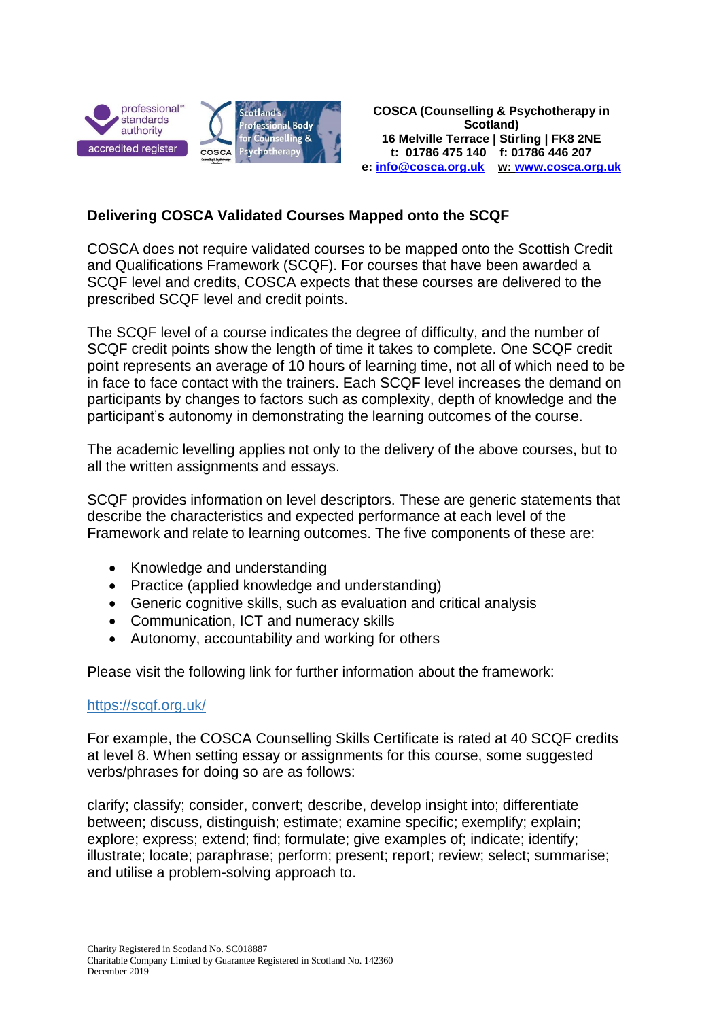

## **Delivering COSCA Validated Courses Mapped onto the SCQF**

COSCA does not require validated courses to be mapped onto the Scottish Credit and Qualifications Framework (SCQF). For courses that have been awarded a SCQF level and credits, COSCA expects that these courses are delivered to the prescribed SCQF level and credit points.

The SCQF level of a course indicates the degree of difficulty, and the number of SCQF credit points show the length of time it takes to complete. One SCQF credit point represents an average of 10 hours of learning time, not all of which need to be in face to face contact with the trainers. Each SCQF level increases the demand on participants by changes to factors such as complexity, depth of knowledge and the participant's autonomy in demonstrating the learning outcomes of the course.

The academic levelling applies not only to the delivery of the above courses, but to all the written assignments and essays.

SCQF provides information on level descriptors. These are generic statements that describe the characteristics and expected performance at each level of the Framework and relate to learning outcomes. The five components of these are:

- Knowledge and understanding
- Practice (applied knowledge and understanding)
- Generic cognitive skills, such as evaluation and critical analysis
- Communication, ICT and numeracy skills
- Autonomy, accountability and working for others

Please visit the following link for further information about the framework:

## <https://scqf.org.uk/>

For example, the COSCA Counselling Skills Certificate is rated at 40 SCQF credits at level 8. When setting essay or assignments for this course, some suggested verbs/phrases for doing so are as follows:

clarify; classify; consider, convert; describe, develop insight into; differentiate between; discuss, distinguish; estimate; examine specific; exemplify; explain; explore; express; extend; find; formulate; give examples of; indicate; identify; illustrate; locate; paraphrase; perform; present; report; review; select; summarise; and utilise a problem-solving approach to.